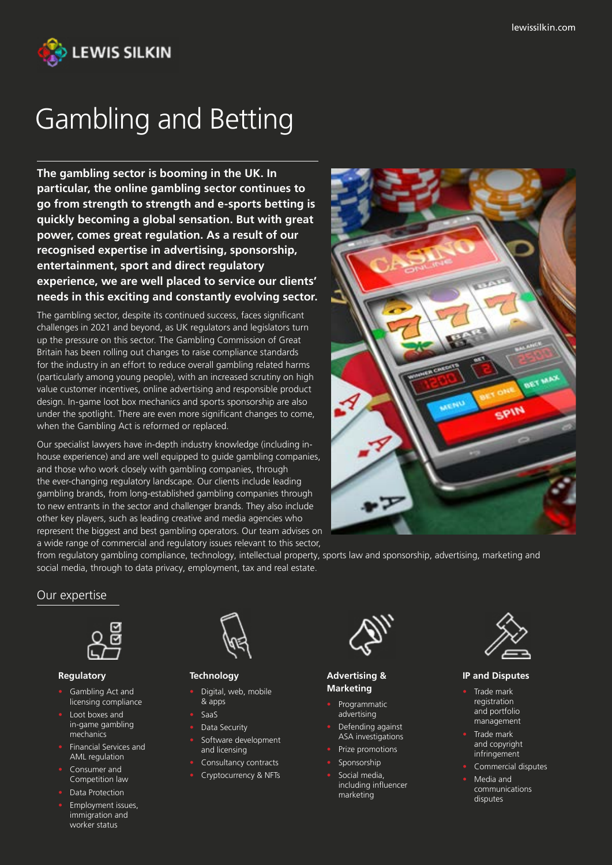

# Gambling and Betting

**The gambling sector is booming in the UK. In particular, the online gambling sector continues to go from strength to strength and e-sports betting is quickly becoming a global sensation. But with great power, comes great regulation. As a result of our recognised expertise in advertising, sponsorship, entertainment, sport and direct regulatory experience, we are well placed to service our clients' needs in this exciting and constantly evolving sector.**

The gambling sector, despite its continued success, faces significant challenges in 2021 and beyond, as UK regulators and legislators turn up the pressure on this sector. The Gambling Commission of Great Britain has been rolling out changes to raise compliance standards for the industry in an effort to reduce overall gambling related harms (particularly among young people), with an increased scrutiny on high value customer incentives, online advertising and responsible product design. In-game loot box mechanics and sports sponsorship are also under the spotlight. There are even more significant changes to come, when the Gambling Act is reformed or replaced.

Our specialist lawyers have in-depth industry knowledge (including inhouse experience) and are well equipped to guide gambling companies, and those who work closely with gambling companies, through the ever-changing regulatory landscape. Our clients include leading gambling brands, from long-established gambling companies through to new entrants in the sector and challenger brands. They also include other key players, such as leading creative and media agencies who represent the biggest and best gambling operators. Our team advises on a wide range of commercial and regulatory issues relevant to this sector,



from regulatory gambling compliance, technology, intellectual property, sports law and sponsorship, advertising, marketing and social media, through to data privacy, employment, tax and real estate.

### Our expertise



#### **Regulatory**

- Gambling Act and licensing compliance
- Loot boxes and in-game gambling mechanics
- Financial Services and AML regulation
- Consumer and Competition law
- Data Protection
- Employment issues, immigration and worker status



#### **Technology**

- Digital, web, mobile & apps
- SaaS
- Data Security
- Software development and licensing
- Consultancy contracts
- Cryptocurrency & NFTs



#### **Advertising & Marketing**

- Programmatic advertising
- Defending against ASA investigations
- Prize promotions
- Sponsorship
- Social media, including influencer marketing



#### **IP and Disputes**

- Trade mark registration and portfolio management
- Trade mark and copyright infringement
- Commercial disputes
- Media and communications disputes